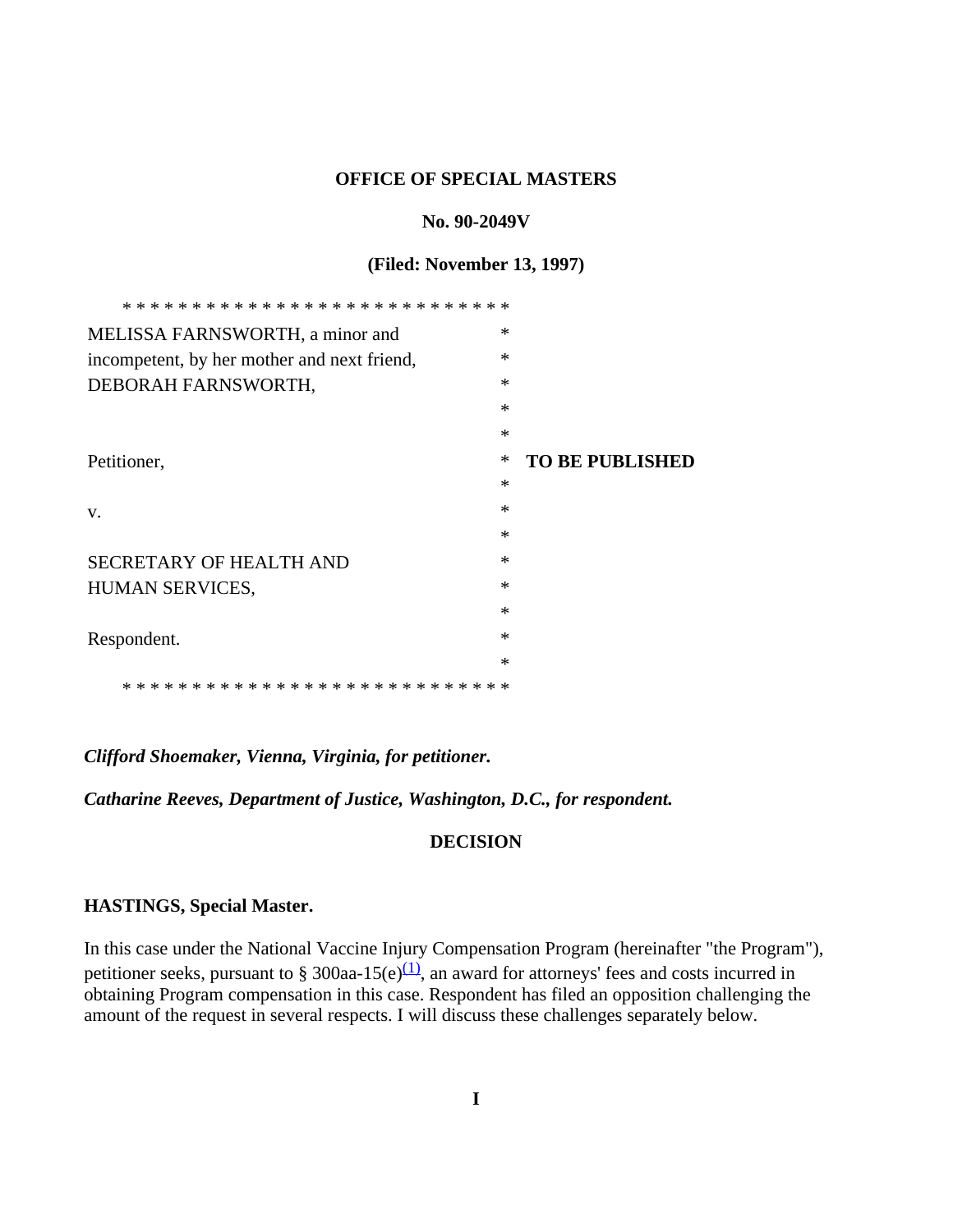#### **OFFICE OF SPECIAL MASTERS**

#### **No. 90-2049V**

#### **(Filed: November 13, 1997)**

| MELISSA FARNSWORTH, a minor and             | $\ast$ |                        |
|---------------------------------------------|--------|------------------------|
| incompetent, by her mother and next friend, | $\ast$ |                        |
| DEBORAH FARNSWORTH,                         | *      |                        |
|                                             | $\ast$ |                        |
|                                             | $\ast$ |                        |
| Petitioner,                                 | ∗      | <b>TO BE PUBLISHED</b> |
|                                             | $\ast$ |                        |
| V.                                          | $\ast$ |                        |
|                                             | $\ast$ |                        |
| <b>SECRETARY OF HEALTH AND</b>              | $\ast$ |                        |
| HUMAN SERVICES,                             | $\ast$ |                        |
|                                             | $\ast$ |                        |
| Respondent.                                 | $\ast$ |                        |
|                                             | $\ast$ |                        |
| * * *                                       |        |                        |

### *Clifford Shoemaker, Vienna, Virginia, for petitioner.*

*Catharine Reeves, Department of Justice, Washington, D.C., for respondent.*

#### **DECISION**

#### **HASTINGS, Special Master.**

In this case under the National Vaccine Injury Compensation Program (hereinafter "the Program"), petitioner seeks, pursuant to § 300aa-15(e) $\frac{(1)}{(1)}$ , an award for attorneys' fees and costs incurred in obtaining Program compensation in this case. Respondent has filed an opposition challenging the amount of the request in several respects. I will discuss these challenges separately below.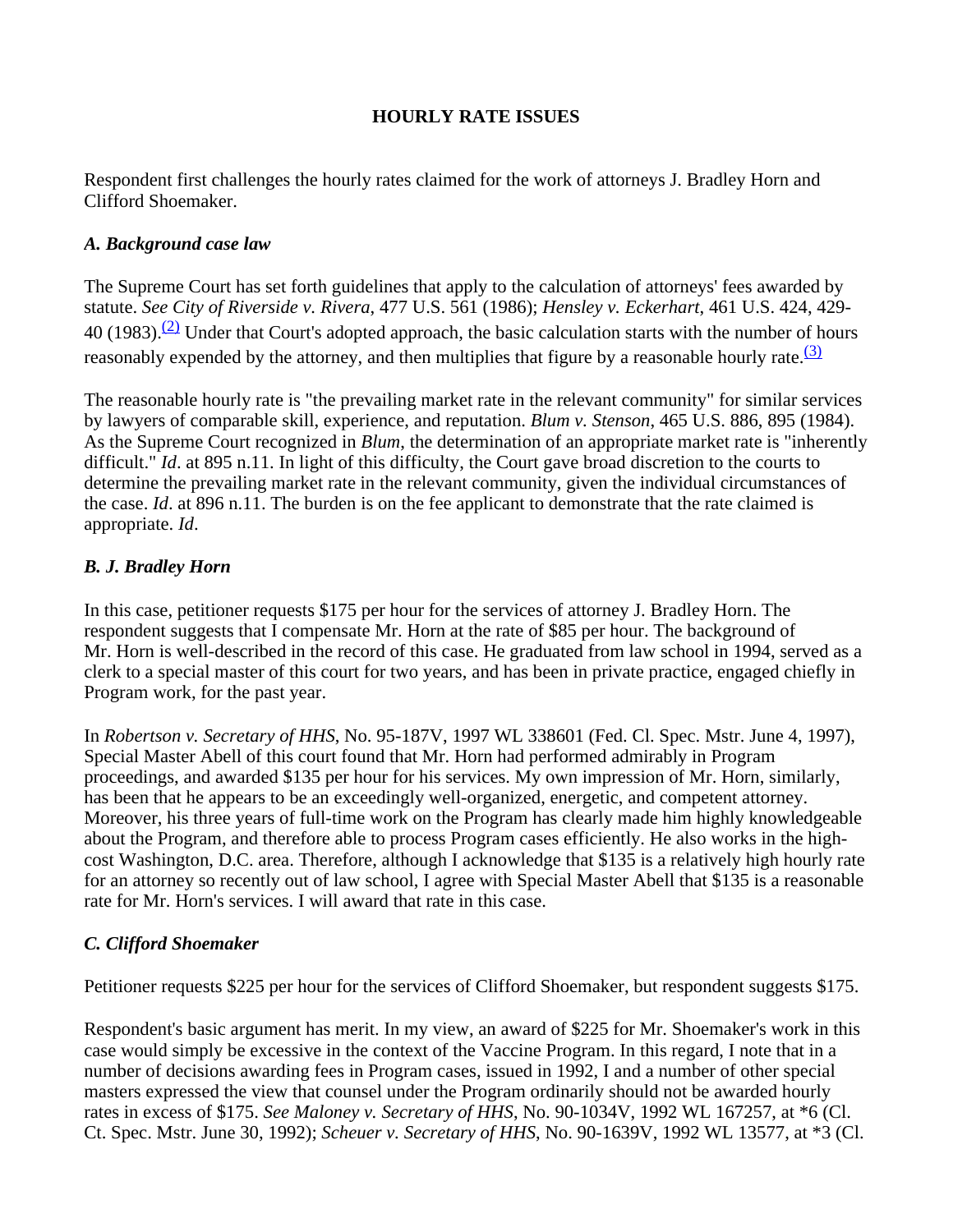# **HOURLY RATE ISSUES**

Respondent first challenges the hourly rates claimed for the work of attorneys J. Bradley Horn and Clifford Shoemaker.

## *A. Background case law*

The Supreme Court has set forth guidelines that apply to the calculation of attorneys' fees awarded by statute. *See City of Riverside v. Rivera*, 477 U.S. 561 (1986); *Hensley v. Eckerhart*, 461 U.S. 424, 429- 40 (1983).<sup>(2)</sup> Under that Court's adopted approach, the basic calculation starts with the number of hours reasonably expended by the attorney, and then multiplies that figure by a reasonable hourly rate.  $(3)$ 

The reasonable hourly rate is "the prevailing market rate in the relevant community" for similar services by lawyers of comparable skill, experience, and reputation. *Blum v. Stenson*, 465 U.S. 886, 895 (1984). As the Supreme Court recognized in *Blum*, the determination of an appropriate market rate is "inherently difficult." *Id.* at 895 n.11. In light of this difficulty, the Court gave broad discretion to the courts to determine the prevailing market rate in the relevant community, given the individual circumstances of the case. *Id*. at 896 n.11. The burden is on the fee applicant to demonstrate that the rate claimed is appropriate. *Id*.

## *B. J. Bradley Horn*

In this case, petitioner requests \$175 per hour for the services of attorney J. Bradley Horn. The respondent suggests that I compensate Mr. Horn at the rate of \$85 per hour. The background of Mr. Horn is well-described in the record of this case. He graduated from law school in 1994, served as a clerk to a special master of this court for two years, and has been in private practice, engaged chiefly in Program work, for the past year.

In *Robertson v. Secretary of HHS*, No. 95-187V, 1997 WL 338601 (Fed. Cl. Spec. Mstr. June 4, 1997), Special Master Abell of this court found that Mr. Horn had performed admirably in Program proceedings, and awarded \$135 per hour for his services. My own impression of Mr. Horn, similarly, has been that he appears to be an exceedingly well-organized, energetic, and competent attorney. Moreover, his three years of full-time work on the Program has clearly made him highly knowledgeable about the Program, and therefore able to process Program cases efficiently. He also works in the highcost Washington, D.C. area. Therefore, although I acknowledge that \$135 is a relatively high hourly rate for an attorney so recently out of law school, I agree with Special Master Abell that \$135 is a reasonable rate for Mr. Horn's services. I will award that rate in this case.

## *C. Clifford Shoemaker*

Petitioner requests \$225 per hour for the services of Clifford Shoemaker, but respondent suggests \$175.

Respondent's basic argument has merit. In my view, an award of \$225 for Mr. Shoemaker's work in this case would simply be excessive in the context of the Vaccine Program. In this regard, I note that in a number of decisions awarding fees in Program cases, issued in 1992, I and a number of other special masters expressed the view that counsel under the Program ordinarily should not be awarded hourly rates in excess of \$175. *See Maloney v. Secretary of HHS*, No. 90-1034V, 1992 WL 167257, at \*6 (Cl. Ct. Spec. Mstr. June 30, 1992); *Scheuer v. Secretary of HHS*, No. 90-1639V, 1992 WL 13577, at \*3 (Cl.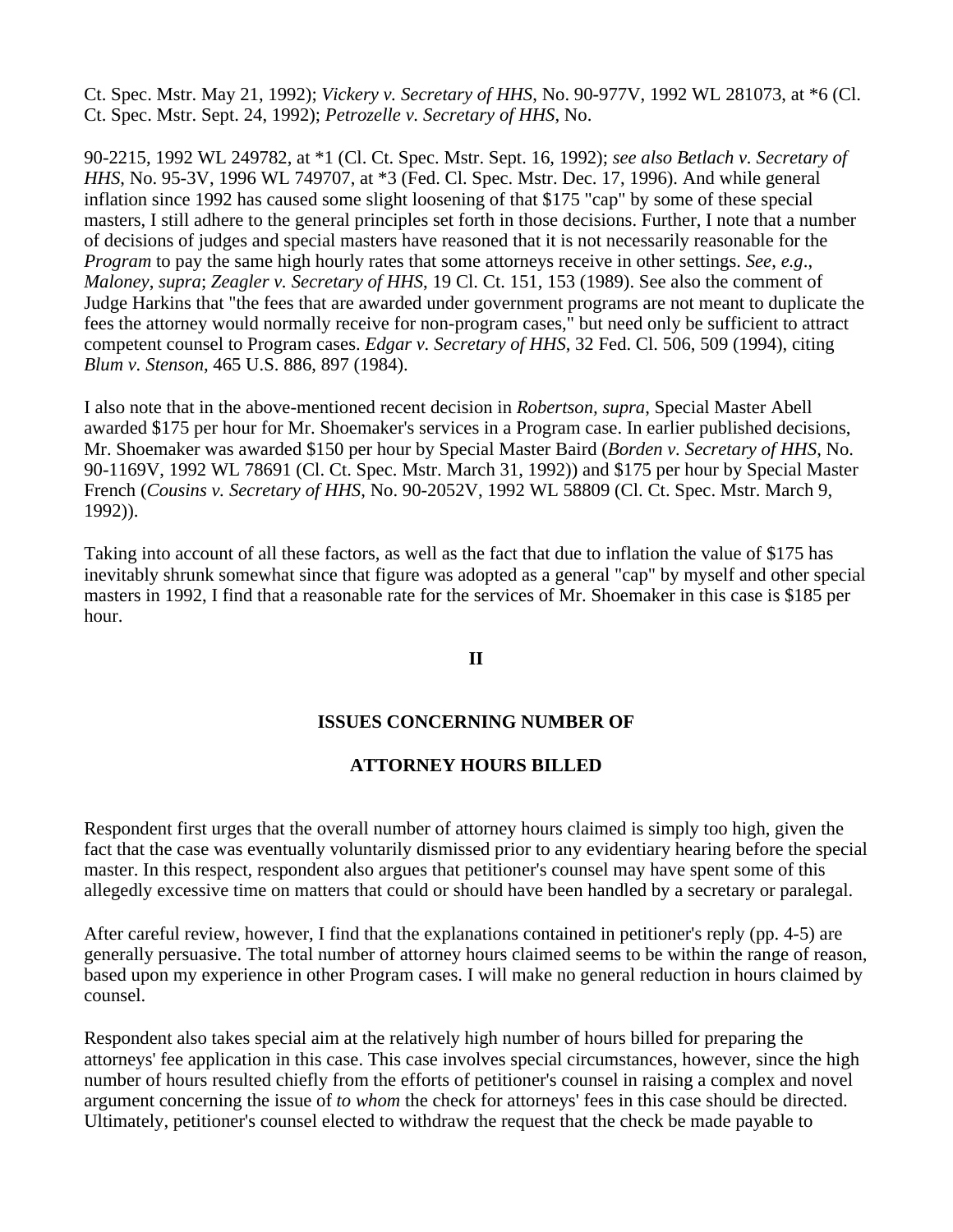Ct. Spec. Mstr. May 21, 1992); *Vickery v. Secretary of HHS*, No. 90-977V, 1992 WL 281073, at \*6 (Cl. Ct. Spec. Mstr. Sept. 24, 1992); *Petrozelle v. Secretary of HHS*, No.

90-2215, 1992 WL 249782, at \*1 (Cl. Ct. Spec. Mstr. Sept. 16, 1992); *see also Betlach v. Secretary of HHS*, No. 95-3V, 1996 WL 749707, at \*3 (Fed. Cl. Spec. Mstr. Dec. 17, 1996). And while general inflation since 1992 has caused some slight loosening of that \$175 "cap" by some of these special masters, I still adhere to the general principles set forth in those decisions. Further, I note that a number of decisions of judges and special masters have reasoned that it is not necessarily reasonable for the *Program* to pay the same high hourly rates that some attorneys receive in other settings. *See*, *e.g*., *Maloney*, *supra*; *Zeagler v. Secretary of HHS*, 19 Cl. Ct. 151, 153 (1989). See also the comment of Judge Harkins that "the fees that are awarded under government programs are not meant to duplicate the fees the attorney would normally receive for non-program cases," but need only be sufficient to attract competent counsel to Program cases. *Edgar v. Secretary of HHS*, 32 Fed. Cl. 506, 509 (1994), citing *Blum v. Stenson*, 465 U.S. 886, 897 (1984).

I also note that in the above-mentioned recent decision in *Robertson, supra*, Special Master Abell awarded \$175 per hour for Mr. Shoemaker's services in a Program case. In earlier published decisions, Mr. Shoemaker was awarded \$150 per hour by Special Master Baird (*Borden v. Secretary of HHS*, No. 90-1169V, 1992 WL 78691 (Cl. Ct. Spec. Mstr. March 31, 1992)) and \$175 per hour by Special Master French (*Cousins v. Secretary of HHS*, No. 90-2052V, 1992 WL 58809 (Cl. Ct. Spec. Mstr. March 9, 1992)).

Taking into account of all these factors, as well as the fact that due to inflation the value of \$175 has inevitably shrunk somewhat since that figure was adopted as a general "cap" by myself and other special masters in 1992, I find that a reasonable rate for the services of Mr. Shoemaker in this case is \$185 per hour.

#### **II**

### **ISSUES CONCERNING NUMBER OF**

### **ATTORNEY HOURS BILLED**

Respondent first urges that the overall number of attorney hours claimed is simply too high, given the fact that the case was eventually voluntarily dismissed prior to any evidentiary hearing before the special master. In this respect, respondent also argues that petitioner's counsel may have spent some of this allegedly excessive time on matters that could or should have been handled by a secretary or paralegal.

After careful review, however, I find that the explanations contained in petitioner's reply (pp. 4-5) are generally persuasive. The total number of attorney hours claimed seems to be within the range of reason, based upon my experience in other Program cases. I will make no general reduction in hours claimed by counsel.

Respondent also takes special aim at the relatively high number of hours billed for preparing the attorneys' fee application in this case. This case involves special circumstances, however, since the high number of hours resulted chiefly from the efforts of petitioner's counsel in raising a complex and novel argument concerning the issue of *to whom* the check for attorneys' fees in this case should be directed. Ultimately, petitioner's counsel elected to withdraw the request that the check be made payable to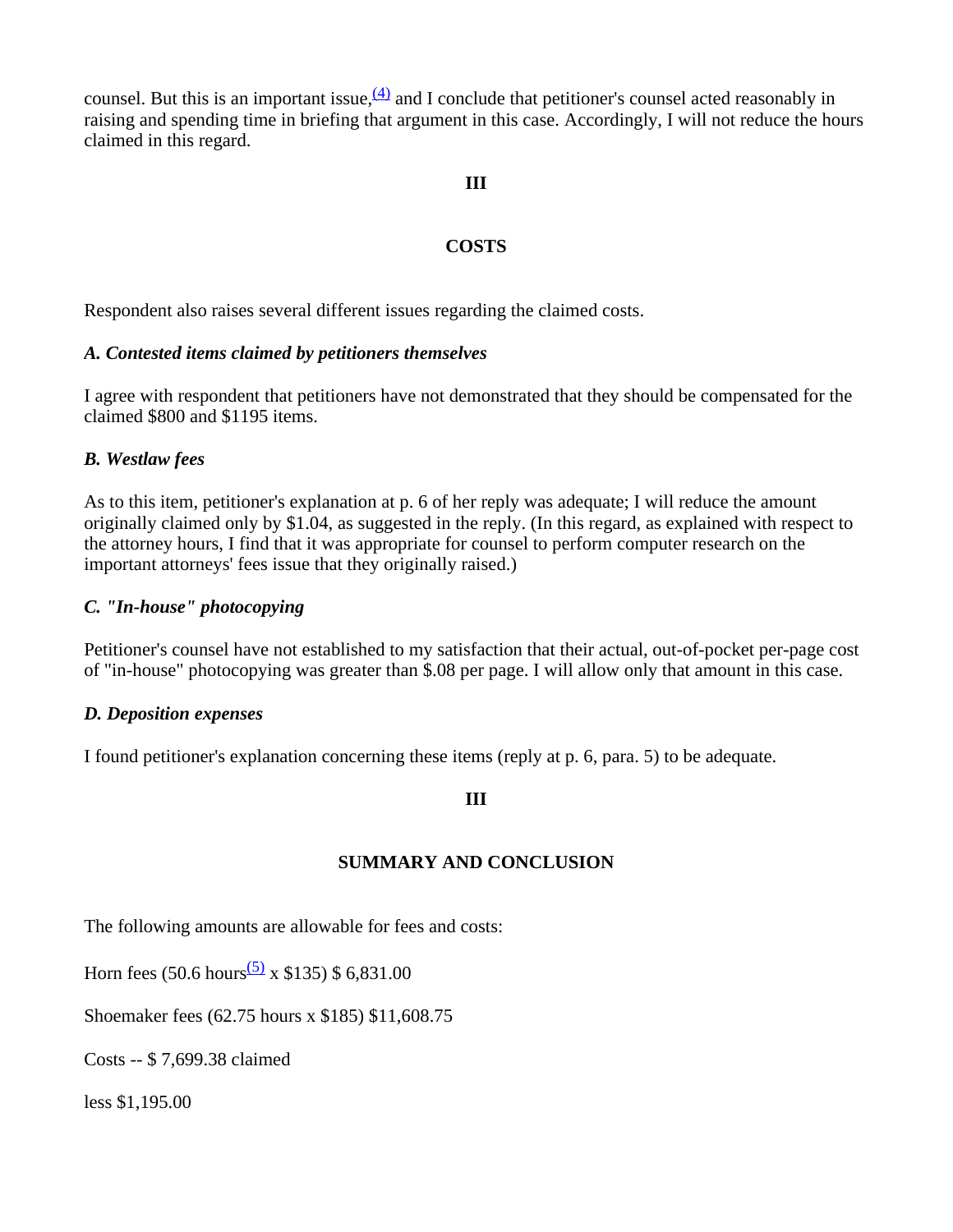counsel. But this is an important issue,  $(4)$  and I conclude that petitioner's counsel acted reasonably in raising and spending time in briefing that argument in this case. Accordingly, I will not reduce the hours claimed in this regard.

## **III**

## **COSTS**

Respondent also raises several different issues regarding the claimed costs.

## *A. Contested items claimed by petitioners themselves*

I agree with respondent that petitioners have not demonstrated that they should be compensated for the claimed \$800 and \$1195 items.

## *B. Westlaw fees*

As to this item, petitioner's explanation at p. 6 of her reply was adequate; I will reduce the amount originally claimed only by \$1.04, as suggested in the reply. (In this regard, as explained with respect to the attorney hours, I find that it was appropriate for counsel to perform computer research on the important attorneys' fees issue that they originally raised.)

## *C. "In-house" photocopying*

Petitioner's counsel have not established to my satisfaction that their actual, out-of-pocket per-page cost of "in-house" photocopying was greater than \$.08 per page. I will allow only that amount in this case.

### *D. Deposition expenses*

I found petitioner's explanation concerning these items (reply at p. 6, para. 5) to be adequate.

### **III**

### **SUMMARY AND CONCLUSION**

The following amounts are allowable for fees and costs:

Horn fees (50.6 hours<sup>(5)</sup> x \$135) \$ 6,831.00

Shoemaker fees (62.75 hours x \$185) \$11,608.75

Costs -- \$ 7,699.38 claimed

less \$1,195.00